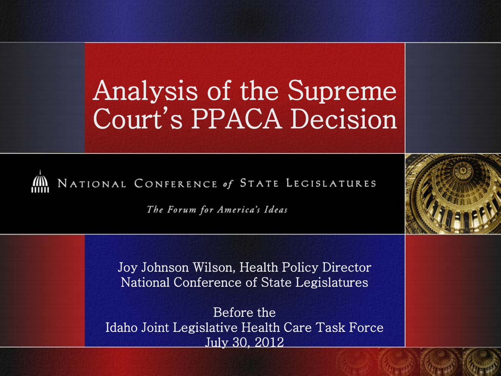### Analysis of the Supreme Court's PPACA Decision



The Forum for America's Ideas

Joy Johnson Wilson, Health Policy Director National Conference of State Legislatures

Before the Idaho Joint Legislative Health Care Task Force July 30, 2012

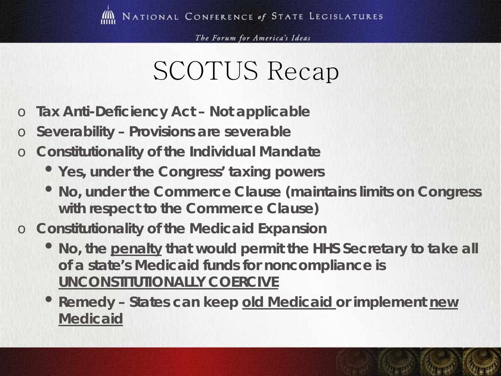### SCOTUS Recap

- o **Tax Anti-Deficiency Act – Not applicable**
- o **Severability – Provisions are severable**
- o **Constitutionality of the Individual Mandate**
	- **Yes, under the Congress' taxing powers**
	- **No, under the Commerce Clause (maintains limits on Congress with respect to the Commerce Clause)**
- o **Constitutionality of the Medicaid Expansion**
	- **No, the penalty that would permit the HHS Secretary to take all of a state's Medicaid funds for noncompliance is UNCONSTITUTIONALLY COERCIVE**
	- •**Remedy – States can keep old Medicaid or implement new Medicaid**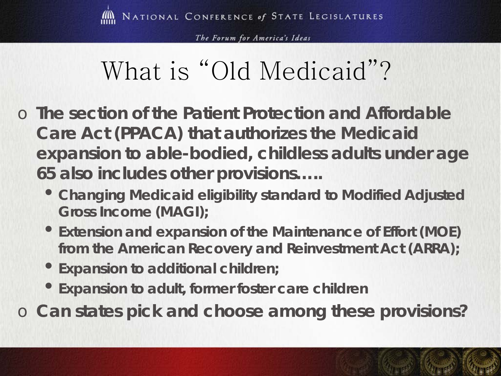# What is "Old Medicaid"?

- o **The section of the Patient Protection and Affordable Care Act (PPACA) that authorizes the Medicaid expansion to able-bodied, childless adults under age 65 also includes other provisions…..**
	- **Changing Medicaid eligibility standard to Modified Adjusted Gross Income (MAGI);**
	- •**Extension and expansion of the Maintenance of Effort (MOE) from the American Recovery and Reinvestment Act (ARRA);**
	- •**Expansion to additional children;**
	- •**Expansion to adult, former foster care children**

o **Can states pick and choose among these provisions?**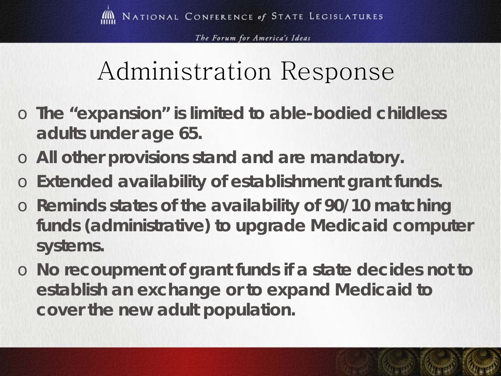# Administration Response

- o **The "expansion" is limited to able-bodied childless adults under age 65.**
- o **All other provisions stand and are mandatory.**
- o **Extended availability of establishment grant funds.**
- o **Reminds states of the availability of 90/10 matching funds (administrative) to upgrade Medicaid computer systems.**
- o **No recoupment of grant funds if a state decides not to establish an exchange or to expand Medicaid to cover the new adult population.**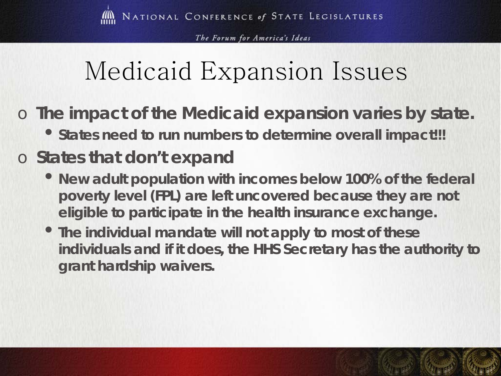# Medicaid Expansion Issues

- o **The impact of the Medicaid expansion varies by state.**
	- •**States need to run numbers to determine overall impact!!!**

### o **States that don't expand**

- **New adult population with incomes below 100% of the federal poverty level (FPL) are left uncovered because they are not eligible to participate in the health insurance exchange.**
- •**The individual mandate will not apply to most of these individuals and if it does, the HHS Secretary has the authority to grant hardship waivers.**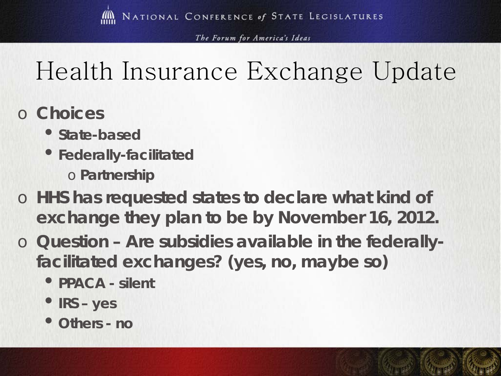# Health Insurance Exchange Update

- o **Choices**
	- •**State-based**
	- •**Federally-facilitated** o **Partnership**
- o **HHS has requested states to declare what kind of exchange they plan to be by November 16, 2012.**
- o **Question – Are subsidies available in the federallyfacilitated exchanges? (yes, no, maybe so)**
	- •**PPACA - silent**
	- •**IRS – yes**
	- **Others - no**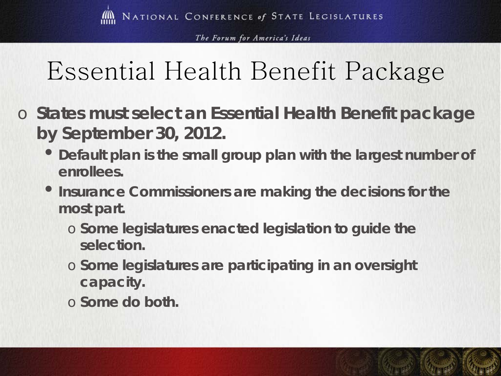# Essential Health Benefit Package

- o **States must select an Essential Health Benefit package by September 30, 2012.**
	- **Default plan is the small group plan with the largest number of enrollees.**
	- •**Insurance Commissioners are making the decisions for the most part.**
		- o **Some legislatures enacted legislation to guide the selection.**
		- o **Some legislatures are participating in an oversight capacity.**
		- o **Some do both.**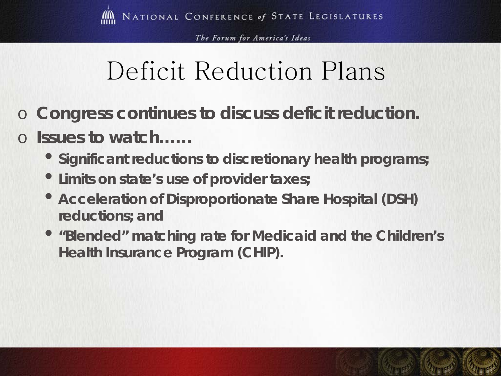# Deficit Reduction Plans

- Congress continues to discuss deficit reduction.
- o **Issues to watch……**
	- •**Significant reductions to discretionary health programs;**
	- •**Limits on state's use of provider taxes;**
	- **Acceleration of Disproportionate Share Hospital (DSH) reductions; and**
	- •**"Blended" matching rate for Medicaid and the Children's Health Insurance Program (CHIP).**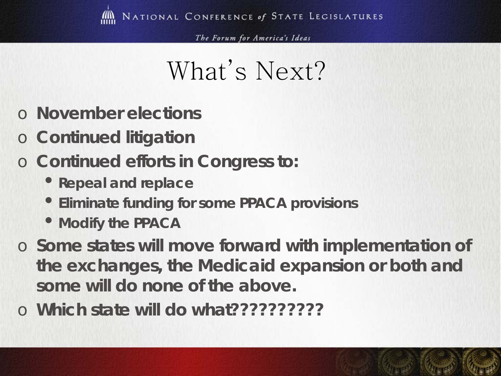### What's Next?

- o **November elections**
- o **Continued litigation**
- o **Continued efforts in Congress to:**
	- •**Repeal and replace**
	- •**Eliminate funding for some PPACA provisions**
	- **Modify the PPACA**
- o **Some states will move forward with implementation of the exchanges, the Medicaid expansion or both and some will do none of the above.**
- o **Which state will do what??????????**